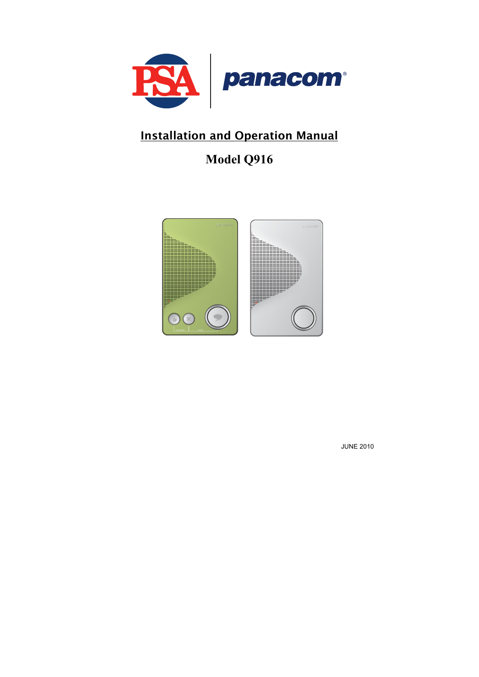

## Installation and Operation Manual

# **Model Q916**



JUNE 2010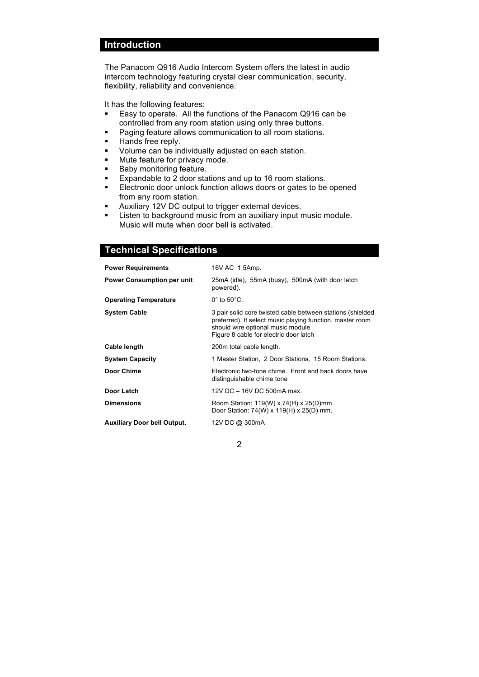### **Introduction**

The Panacom Q916 Audio Intercom System offers the latest in audio intercom technology featuring crystal clear communication, security, flexibility, reliability and convenience.

It has the following features:

- Easy to operate. All the functions of the Panacom Q916 can be controlled from any room station using only three buttons.
- **Paging feature allows communication to all room stations.**
- Hands free reply.
- Volume can be individually adjusted on each station.
- **Mute feature for privacy mode.**
- **Baby monitoring feature.**
- Expandable to 2 door stations and up to 16 room stations.
- Electronic door unlock function allows doors or gates to be opened from any room station.
- Auxiliary 12V DC output to trigger external devices.
- **EXECTE 1** Listen to background music from an auxiliary input music module. Music will mute when door bell is activated.

### **Technical Specifications**

| <b>Power Requirements</b>          | 16V AC 1.5Amp.                                                                                                                                                                                          |  |  |
|------------------------------------|---------------------------------------------------------------------------------------------------------------------------------------------------------------------------------------------------------|--|--|
| <b>Power Consumption per unit</b>  | 25mA (idle), 55mA (busy), 500mA (with door latch<br>powered).                                                                                                                                           |  |  |
| <b>Operating Temperature</b>       | $0^{\circ}$ to $50^{\circ}$ C.                                                                                                                                                                          |  |  |
| <b>System Cable</b>                | 3 pair solid core twisted cable between stations (shielded<br>preferred). If select music playing function, master room<br>should wire optional music module.<br>Figure 8 cable for electric door latch |  |  |
| Cable length                       | 200m total cable length.                                                                                                                                                                                |  |  |
| <b>System Capacity</b>             | 1 Master Station, 2 Door Stations, 15 Room Stations.                                                                                                                                                    |  |  |
| Door Chime                         | Electronic two-tone chime. Front and back doors have<br>distinguishable chime tone                                                                                                                      |  |  |
| Door Latch                         | 12V DC - 16V DC 500mA max.                                                                                                                                                                              |  |  |
| <b>Dimensions</b>                  | Room Station: 119(W) x 74(H) x 25(D)mm.<br>Door Station: $74(W) \times 119(H) \times 25(D)$ mm.                                                                                                         |  |  |
| <b>Auxiliary Door bell Output.</b> | 12V DC @ 300mA                                                                                                                                                                                          |  |  |
|                                    |                                                                                                                                                                                                         |  |  |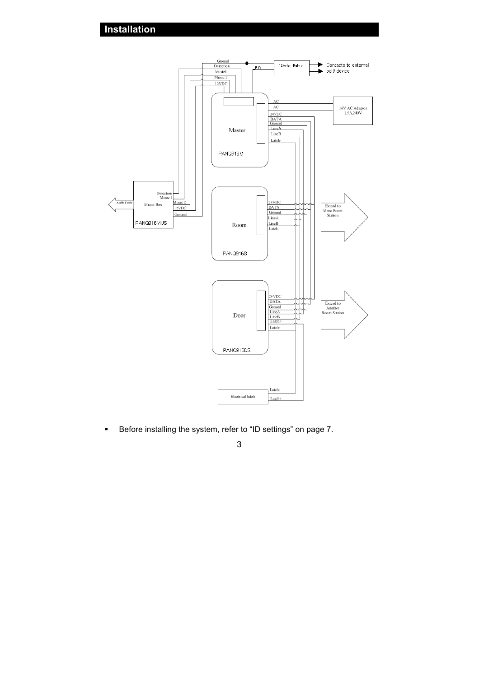**Installation**



**Before installing the system, refer to "ID settings" on page 7.**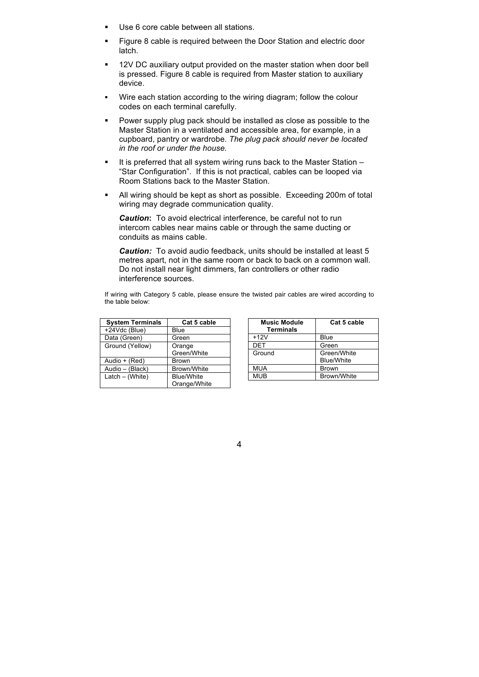- Use 6 core cable between all stations.
- Figure 8 cable is required between the Door Station and electric door latch.
- 12V DC auxiliary output provided on the master station when door bell is pressed. Figure 8 cable is required from Master station to auxiliary device.
- Wire each station according to the wiring diagram; follow the colour codes on each terminal carefully.
- Power supply plug pack should be installed as close as possible to the Master Station in a ventilated and accessible area, for example, in a cupboard, pantry or wardrobe. *The plug pack should never be located in the roof or under the house.*
- It is preferred that all system wiring runs back to the Master Station  $-$ "Star Configuration". If this is not practical, cables can be looped via Room Stations back to the Master Station.
- All wiring should be kept as short as possible. Exceeding 200m of total wiring may degrade communication quality.

*Caution***:** To avoid electrical interference, be careful not to run intercom cables near mains cable or through the same ducting or conduits as mains cable.

*Caution:* To avoid audio feedback, units should be installed at least 5 metres apart, not in the same room or back to back on a common wall. Do not install near light dimmers, fan controllers or other radio interference sources.

If wiring with Category 5 cable, please ensure the twisted pair cables are wired according to the table below:

| <b>System Terminals</b> | Cat 5 cable                       |
|-------------------------|-----------------------------------|
| +24Vdc (Blue)           | Blue                              |
| Data (Green)            | Green                             |
| Ground (Yellow)         | Orange<br>Green/White             |
| Audio + (Red)           | <b>Brown</b>                      |
| Audio - (Black)         | Brown/White                       |
| Latch - (White)         | <b>Blue/White</b><br>Orange/White |

| <b>Music Module</b><br><b>Terminals</b> | Cat 5 cable       |
|-----------------------------------------|-------------------|
| $+12V$                                  | Blue              |
| DET                                     | Green             |
| Ground                                  | Green/White       |
|                                         | <b>Blue/White</b> |
| <b>MUA</b>                              | <b>Brown</b>      |
| <b>MUB</b>                              | Brown/White       |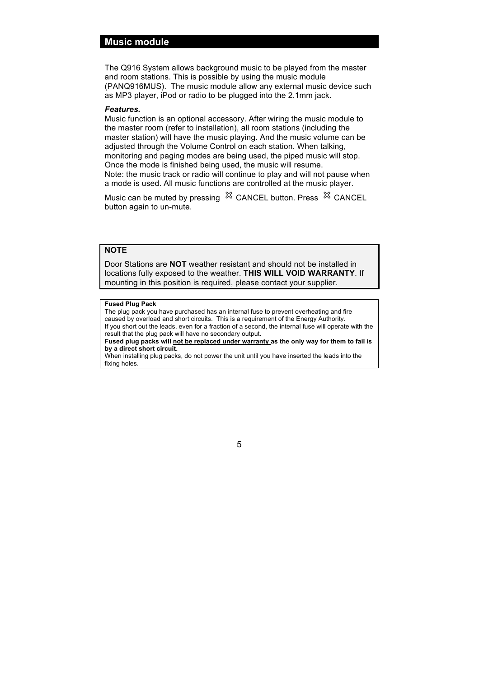### **Music module**

The Q916 System allows background music to be played from the master and room stations. This is possible by using the music module (PANQ916MUS). The music module allow any external music device such as MP3 player, iPod or radio to be plugged into the 2.1mm jack.

#### *Features.*

Music function is an optional accessory. After wiring the music module to the master room (refer to installation), all room stations (including the master station) will have the music playing. And the music volume can be adjusted through the Volume Control on each station. When talking, monitoring and paging modes are being used, the piped music will stop. Once the mode is finished being used, the music will resume. Note: the music track or radio will continue to play and will not pause when a mode is used. All music functions are controlled at the music player.

Music can be muted by pressing  $\%$  CANCEL button. Press  $\%$  CANCEL button again to un-mute.

### **NOTE**

Door Stations are **NOT** weather resistant and should not be installed in locations fully exposed to the weather. **THIS WILL VOID WARRANTY**. If mounting in this position is required, please contact your supplier.

#### **Fused Plug Pack**

The plug pack you have purchased has an internal fuse to prevent overheating and fire caused by overload and short circuits. This is a requirement of the Energy Authority. If you short out the leads, even for a fraction of a second, the internal fuse will operate with the result that the plug pack will have no secondary output.

**Fused plug packs will not be replaced under warranty as the only way for them to fail is by a direct short circuit.**

When installing plug packs, do not power the unit until you have inserted the leads into the fixing holes.

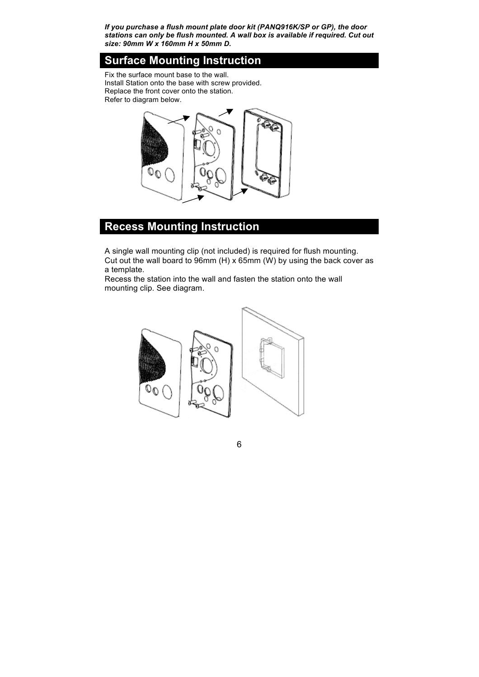*If you purchase a flush mount plate door kit (PANQ916K/SP or GP), the door stations can only be flush mounted. A wall box is available if required. Cut out size: 90mm W x 160mm H x 50mm D.*

### **Surface Mounting Instruction**

Fix the surface mount base to the wall. Install Station onto the base with screw provided. Replace the front cover onto the station. Refer to diagram below.



## **Recess Mounting Instruction**

A single wall mounting clip (not included) is required for flush mounting. Cut out the wall board to 96mm (H) x 65mm (W) by using the back cover as a template.

Recess the station into the wall and fasten the station onto the wall mounting clip. See diagram.

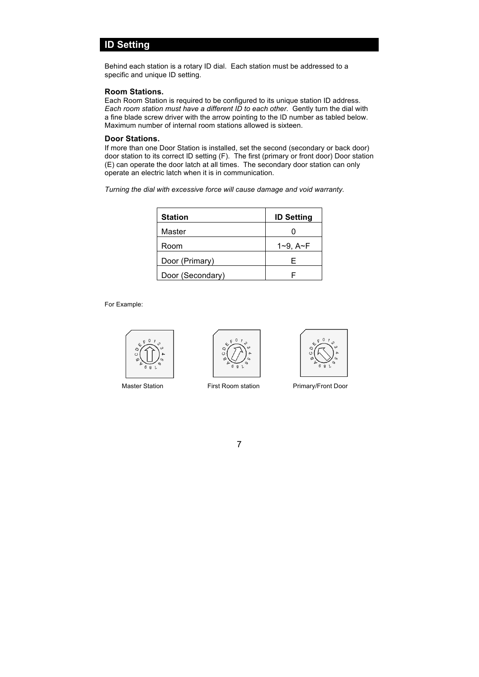### **ID Setting**

Behind each station is a rotary ID dial. Each station must be addressed to a specific and unique ID setting.

#### **Room Stations.**

Each Room Station is required to be configured to its unique station ID address. *Each room station must have a different ID to each other*. Gently turn the dial with a fine blade screw driver with the arrow pointing to the ID number as tabled below. Maximum number of internal room stations allowed is sixteen.

#### **Door Stations.**

If more than one Door Station is installed, set the second (secondary or back door) door station to its correct ID setting (F). The first (primary or front door) Door station (E) can operate the door latch at all times. The secondary door station can only operate an electric latch when it is in communication.

*Turning the dial with excessive force will cause damage and void warranty.*

| <b>Station</b>   | <b>ID Setting</b> |  |
|------------------|-------------------|--|
| Master           |                   |  |
| Room             | $1 - 9$ , $A - F$ |  |
| Door (Primary)   | F                 |  |
| Door (Secondary) |                   |  |

For Example:







Master Station First Room station Primary/Front Door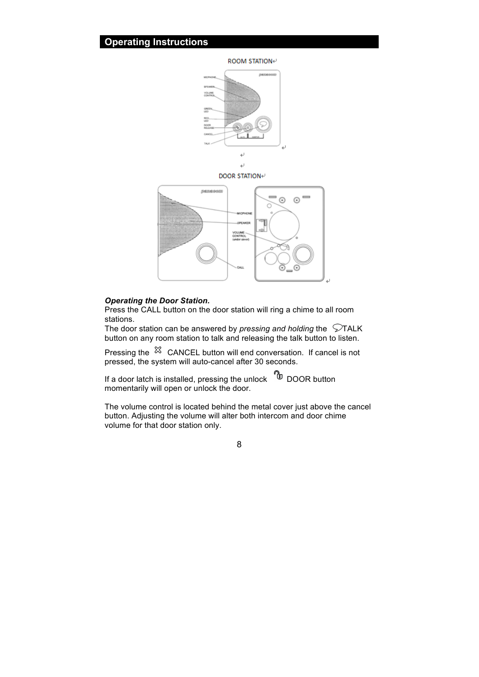### **Operating Instructions**

**ROOM STATION**€



DOOR STATION+



### *Operating the Door Station.*

Press the CALL button on the door station will ring a chime to all room stations.

The door station can be answered by *pressing and holding* the  $\heartsuit$ TALK button on any room station to talk and releasing the talk button to listen.

Pressing the  $\frac{36}{2}$  CANCEL button will end conversation. If cancel is not pressed, the system will auto-cancel after 30 seconds.

If a door latch is installed, pressing the unlock  $^{\circledR}$  DOOR button momentarily will open or unlock the door.

The volume control is located behind the metal cover just above the cancel button. Adjusting the volume will alter both intercom and door chime volume for that door station only.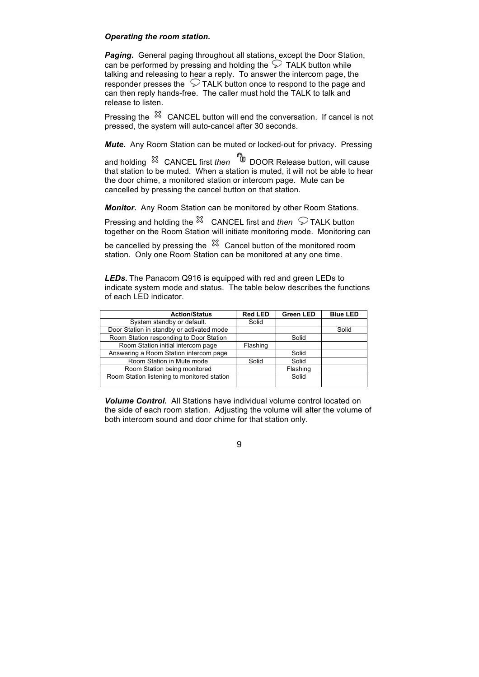### *Operating the room station.*

*Paging***.** General paging throughout all stations, except the Door Station, can be performed by pressing and holding the  $\heartsuit$  TALK button while talking and releasing to hear a reply. To answer the intercom page, the responder presses the  $\heartsuit$  TALK button once to respond to the page and can then reply hands-free. The caller must hold the TALK to talk and release to listen.

Pressing the  $\%$  CANCEL button will end the conversation. If cancel is not pressed, the system will auto-cancel after 30 seconds.

*Mute***.** Any Room Station can be muted or locked-out for privacy. Pressing

and holding CANCEL first *then* DOOR Release button, will cause that station to be muted. When a station is muted, it will not be able to hear the door chime, a monitored station or intercom page. Mute can be cancelled by pressing the cancel button on that station.

*Monitor***.** Any Room Station can be monitored by other Room Stations.

Pressing and holding the <sup> $\%$ </sup> CANCEL first and *then*  $\heartsuit$  TALK button together on the Room Station will initiate monitoring mode. Monitoring can

be cancelled by pressing the  $\frac{8}{3}$  Cancel button of the monitored room station. Only one Room Station can be monitored at any one time.

*LEDs***.** The Panacom Q916 is equipped with red and green LEDs to indicate system mode and status. The table below describes the functions of each LED indicator.

| <b>Action/Status</b>                        | <b>Red LED</b> | <b>Green LED</b> | <b>Blue LED</b> |
|---------------------------------------------|----------------|------------------|-----------------|
| System standby or default.                  | Solid          |                  |                 |
| Door Station in standby or activated mode   |                |                  | Solid           |
| Room Station responding to Door Station     |                | Solid            |                 |
| Room Station initial intercom page          | Flashing       |                  |                 |
| Answering a Room Station intercom page      |                | Solid            |                 |
| Room Station in Mute mode                   | Solid          | Solid            |                 |
| Room Station being monitored                |                | Flashing         |                 |
| Room Station listening to monitored station |                | Solid            |                 |

*Volume Control.* All Stations have individual volume control located on the side of each room station. Adjusting the volume will alter the volume of both intercom sound and door chime for that station only.